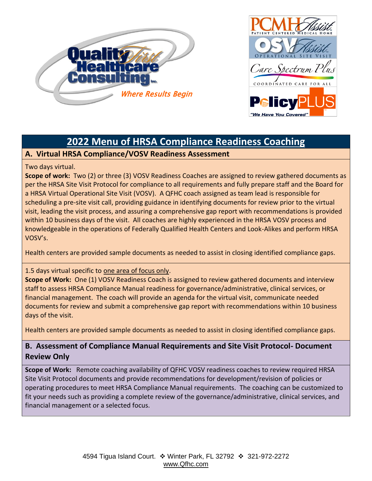



# **2022 Menu of HRSA Compliance Readiness Coaching**

## **A. Virtual HRSA Compliance/VOSV Readiness Assessment**

### Two days virtual.

**Scope of work:** Two (2) or three (3) VOSV Readiness Coaches are assigned to review gathered documents as per the HRSA Site Visit Protocol for compliance to all requirements and fully prepare staff and the Board for a HRSA Virtual Operational Site Visit (VOSV). A QFHC coach assigned as team lead is responsible for scheduling a pre-site visit call, providing guidance in identifying documents for review prior to the virtual visit, leading the visit process, and assuring a comprehensive gap report with recommendations is provided within 10 business days of the visit. All coaches are highly experienced in the HRSA VOSV process and knowledgeable in the operations of Federally Qualified Health Centers and Look-Alikes and perform HRSA VOSV's.

Health centers are provided sample documents as needed to assist in closing identified compliance gaps.

### 1.5 days virtual specific to one area of focus only.

**Scope of Work:** One (1) VOSV Readiness Coach is assigned to review gathered documents and interview staff to assess HRSA Compliance Manual readiness for governance/administrative, clinical services, or financial management. The coach will provide an agenda for the virtual visit, communicate needed documents for review and submit a comprehensive gap report with recommendations within 10 business days of the visit.

Health centers are provided sample documents as needed to assist in closing identified compliance gaps.

# **B. Assessment of Compliance Manual Requirements and Site Visit Protocol- Document Review Only**

**Scope of Work:** Remote coaching availability of QFHC VOSV readiness coaches to review required HRSA Site Visit Protocol documents and provide recommendations for development/revision of policies or operating procedures to meet HRSA Compliance Manual requirements. The coaching can be customized to fit your needs such as providing a complete review of the governance/administrative, clinical services, and financial management or a selected focus.